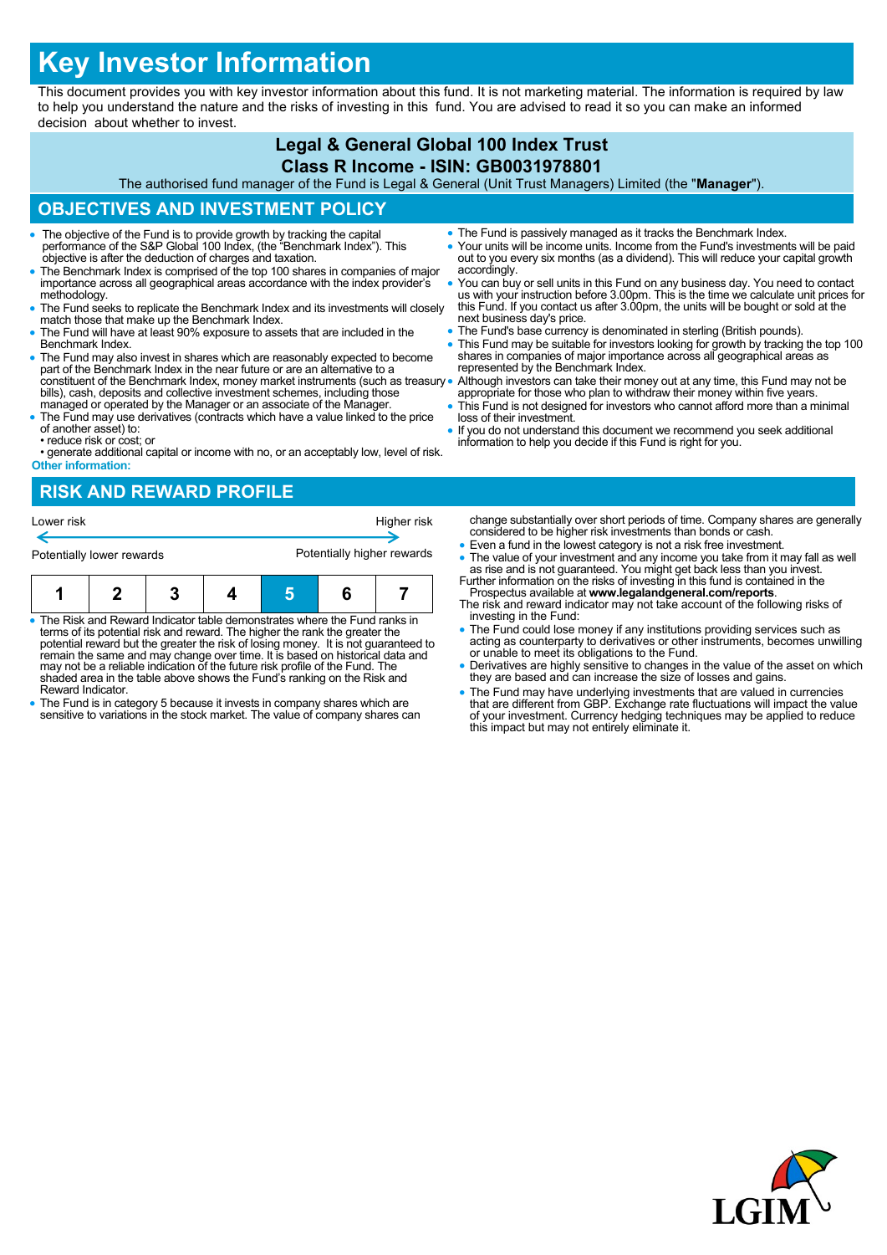# **Key Investor Information**

This document provides you with key investor information about this fund. It is not marketing material. The information is required by law to help you understand the nature and the risks of investing in this fund. You are advised to read it so you can make an informed decision about whether to invest.

### **Legal & General Global 100 Index Trust Class R Income - ISIN: GB0031978801**

The authorised fund manager of the Fund is Legal & General (Unit Trust Managers) Limited (the "**Manager**").

## **OBJECTIVES AND INVESTMENT POLICY**

- The objective of the Fund is to provide growth by tracking the capital performance of the S&P Global 100 Index, (the "Benchmark Index"). This objective is after the deduction of charges and taxation.
- The Benchmark Index is comprised of the top 100 shares in companies of major importance across all geographical areas accordance with the index provider's methodology.
- The Fund seeks to replicate the Benchmark Index and its investments will closely match those that make up the Benchmark Index.
- The Fund will have at least 90% exposure to assets that are included in the Benchmark Index.
- The Fund may also invest in shares which are reasonably expected to become part of the Benchmark Index in the near future or are an alternative to a constituent of the Benchmark Index, money market instruments (such as treasury bills), cash, deposits and collective investment schemes, including those managed or operated by the Manager or an associate of the Manager.
- The Fund may use derivatives (contracts which have a value linked to the price of another asset) to: • reduce risk or cost; or
- generate additional capital or income with no, or an acceptably low, level of risk. **Other information:**
- The Fund is passively managed as it tracks the Benchmark Index.
- Your units will be income units. Income from the Fund's investments will be paid out to you every six months (as a dividend). This will reduce your capital growth accordingly.
- You can buy or sell units in this Fund on any business day. You need to contact us with your instruction before 3.00pm. This is the time we calculate unit prices for this Fund. If you contact us after 3.00pm, the units w next business day's price.
- The Fund's base currency is denominated in sterling (British pounds).
- This Fund may be suitable for investors looking for growth by tracking the top 100 shares in companies of major importance across all geographical areas as represented by the Benchmark Index.
- Although investors can take their money out at any time, this Fund may not be appropriate for those who plan to withdraw their money within five years.
- This Fund is not designed for investors who cannot afford more than a minimal loss of their investment.
- If you do not understand this document we recommend you seek additional information to help you decide if this Fund is right for you.

# **RISK AND REWARD PROFILE**



- The Risk and Reward Indicator table demonstrates where the Fund ranks in terms of its potential risk and reward. The higher the rank the greater the potential reward but the greater the risk of losing money. It is not guaranteed to remain the same and may change over time. It is based on historical data and may not be a reliable indication of the future risk profile of the Fund. The shaded area in the table above shows the Fund's ranking on the Risk and Reward Indicator.
- The Fund is in category 5 because it invests in company shares which are sensitive to variations in the stock market. The value of company shares can
- change substantially over short periods of time. Company shares are generally considered to be higher risk investments than bonds or cash.
- Even a fund in the lowest category is not a risk free investment. • The value of your investment and any income you take from it may fall as well as rise and is not guaranteed. You might get back less than you invest.<br>Further information on the risks of investing in this fund is containe
- Prospectus available at **www.legalandgeneral.com/reports**.
- The risk and reward indicator may not take account of the following risks of investing in the Fund:
- The Fund could lose money if any institutions providing services such as acting as counterparty to derivatives or other instruments, becomes unwilling or unable to meet its obligations to the Fund.
- Derivatives are highly sensitive to changes in the value of the asset on which they are based and can increase the size of losses and gains.
- The Fund may have underlying investments that are valued in currencies that are different from GBP. Exchange rate fluctuations will impact the value of your investment. Currency hedging techniques may be applied to reduce this impact but may not entirely eliminate it.